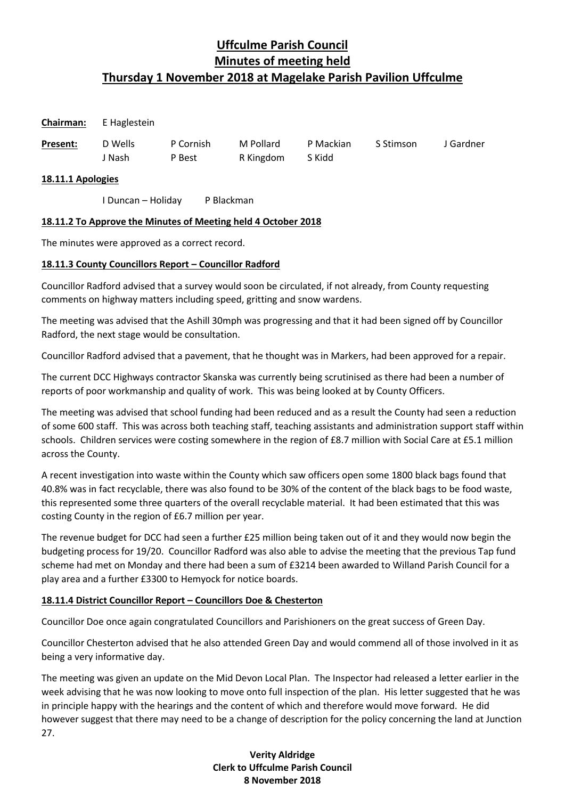#### **Chairman:** E Haglestein

| Present: | D Wells | P Cornish | M Pollard | P Mackian | S Stimson | J Gardner |
|----------|---------|-----------|-----------|-----------|-----------|-----------|
|          | , Nash  | P Best    | R Kingdom | S Kidd    |           |           |

#### **18.11.1 Apologies**

I Duncan – Holiday P Blackman

### **18.11.2 To Approve the Minutes of Meeting held 4 October 2018**

The minutes were approved as a correct record.

### **18.11.3 County Councillors Report – Councillor Radford**

Councillor Radford advised that a survey would soon be circulated, if not already, from County requesting comments on highway matters including speed, gritting and snow wardens.

The meeting was advised that the Ashill 30mph was progressing and that it had been signed off by Councillor Radford, the next stage would be consultation.

Councillor Radford advised that a pavement, that he thought was in Markers, had been approved for a repair.

The current DCC Highways contractor Skanska was currently being scrutinised as there had been a number of reports of poor workmanship and quality of work. This was being looked at by County Officers.

The meeting was advised that school funding had been reduced and as a result the County had seen a reduction of some 600 staff. This was across both teaching staff, teaching assistants and administration support staff within schools. Children services were costing somewhere in the region of £8.7 million with Social Care at £5.1 million across the County.

A recent investigation into waste within the County which saw officers open some 1800 black bags found that 40.8% was in fact recyclable, there was also found to be 30% of the content of the black bags to be food waste, this represented some three quarters of the overall recyclable material. It had been estimated that this was costing County in the region of £6.7 million per year.

The revenue budget for DCC had seen a further £25 million being taken out of it and they would now begin the budgeting process for 19/20. Councillor Radford was also able to advise the meeting that the previous Tap fund scheme had met on Monday and there had been a sum of £3214 been awarded to Willand Parish Council for a play area and a further £3300 to Hemyock for notice boards.

#### **18.11.4 District Councillor Report – Councillors Doe & Chesterton**

Councillor Doe once again congratulated Councillors and Parishioners on the great success of Green Day.

Councillor Chesterton advised that he also attended Green Day and would commend all of those involved in it as being a very informative day.

The meeting was given an update on the Mid Devon Local Plan. The Inspector had released a letter earlier in the week advising that he was now looking to move onto full inspection of the plan. His letter suggested that he was in principle happy with the hearings and the content of which and therefore would move forward. He did however suggest that there may need to be a change of description for the policy concerning the land at Junction 27.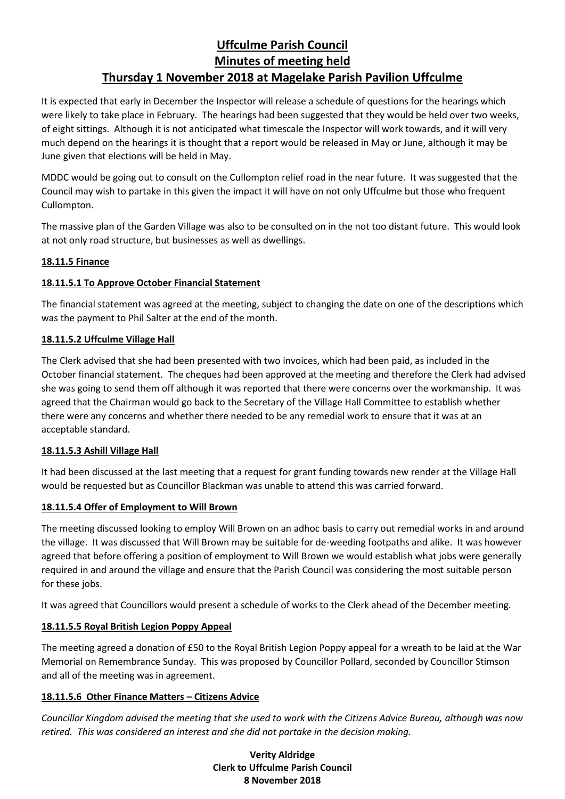It is expected that early in December the Inspector will release a schedule of questions for the hearings which were likely to take place in February. The hearings had been suggested that they would be held over two weeks, of eight sittings. Although it is not anticipated what timescale the Inspector will work towards, and it will very much depend on the hearings it is thought that a report would be released in May or June, although it may be June given that elections will be held in May.

MDDC would be going out to consult on the Cullompton relief road in the near future. It was suggested that the Council may wish to partake in this given the impact it will have on not only Uffculme but those who frequent Cullompton.

The massive plan of the Garden Village was also to be consulted on in the not too distant future. This would look at not only road structure, but businesses as well as dwellings.

### **18.11.5 Finance**

### **18.11.5.1 To Approve October Financial Statement**

The financial statement was agreed at the meeting, subject to changing the date on one of the descriptions which was the payment to Phil Salter at the end of the month.

### **18.11.5.2 Uffculme Village Hall**

The Clerk advised that she had been presented with two invoices, which had been paid, as included in the October financial statement. The cheques had been approved at the meeting and therefore the Clerk had advised she was going to send them off although it was reported that there were concerns over the workmanship. It was agreed that the Chairman would go back to the Secretary of the Village Hall Committee to establish whether there were any concerns and whether there needed to be any remedial work to ensure that it was at an acceptable standard.

#### **18.11.5.3 Ashill Village Hall**

It had been discussed at the last meeting that a request for grant funding towards new render at the Village Hall would be requested but as Councillor Blackman was unable to attend this was carried forward.

## **18.11.5.4 Offer of Employment to Will Brown**

The meeting discussed looking to employ Will Brown on an adhoc basis to carry out remedial works in and around the village. It was discussed that Will Brown may be suitable for de-weeding footpaths and alike. It was however agreed that before offering a position of employment to Will Brown we would establish what jobs were generally required in and around the village and ensure that the Parish Council was considering the most suitable person for these jobs.

It was agreed that Councillors would present a schedule of works to the Clerk ahead of the December meeting.

## **18.11.5.5 Royal British Legion Poppy Appeal**

The meeting agreed a donation of £50 to the Royal British Legion Poppy appeal for a wreath to be laid at the War Memorial on Remembrance Sunday. This was proposed by Councillor Pollard, seconded by Councillor Stimson and all of the meeting was in agreement.

## **18.11.5.6 Other Finance Matters – Citizens Advice**

*Councillor Kingdom advised the meeting that she used to work with the Citizens Advice Bureau, although was now retired. This was considered an interest and she did not partake in the decision making.*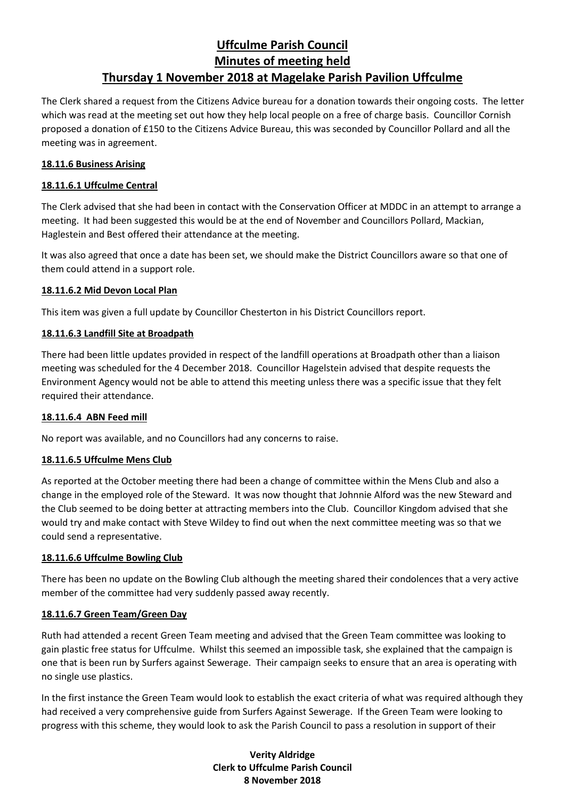The Clerk shared a request from the Citizens Advice bureau for a donation towards their ongoing costs. The letter which was read at the meeting set out how they help local people on a free of charge basis. Councillor Cornish proposed a donation of £150 to the Citizens Advice Bureau, this was seconded by Councillor Pollard and all the meeting was in agreement.

#### **18.11.6 Business Arising**

### **18.11.6.1 Uffculme Central**

The Clerk advised that she had been in contact with the Conservation Officer at MDDC in an attempt to arrange a meeting. It had been suggested this would be at the end of November and Councillors Pollard, Mackian, Haglestein and Best offered their attendance at the meeting.

It was also agreed that once a date has been set, we should make the District Councillors aware so that one of them could attend in a support role.

#### **18.11.6.2 Mid Devon Local Plan**

This item was given a full update by Councillor Chesterton in his District Councillors report.

### **18.11.6.3 Landfill Site at Broadpath**

There had been little updates provided in respect of the landfill operations at Broadpath other than a liaison meeting was scheduled for the 4 December 2018. Councillor Hagelstein advised that despite requests the Environment Agency would not be able to attend this meeting unless there was a specific issue that they felt required their attendance.

#### **18.11.6.4 ABN Feed mill**

No report was available, and no Councillors had any concerns to raise.

#### **18.11.6.5 Uffculme Mens Club**

As reported at the October meeting there had been a change of committee within the Mens Club and also a change in the employed role of the Steward. It was now thought that Johnnie Alford was the new Steward and the Club seemed to be doing better at attracting members into the Club. Councillor Kingdom advised that she would try and make contact with Steve Wildey to find out when the next committee meeting was so that we could send a representative.

#### **18.11.6.6 Uffculme Bowling Club**

There has been no update on the Bowling Club although the meeting shared their condolences that a very active member of the committee had very suddenly passed away recently.

#### **18.11.6.7 Green Team/Green Day**

Ruth had attended a recent Green Team meeting and advised that the Green Team committee was looking to gain plastic free status for Uffculme. Whilst this seemed an impossible task, she explained that the campaign is one that is been run by Surfers against Sewerage. Their campaign seeks to ensure that an area is operating with no single use plastics.

In the first instance the Green Team would look to establish the exact criteria of what was required although they had received a very comprehensive guide from Surfers Against Sewerage. If the Green Team were looking to progress with this scheme, they would look to ask the Parish Council to pass a resolution in support of their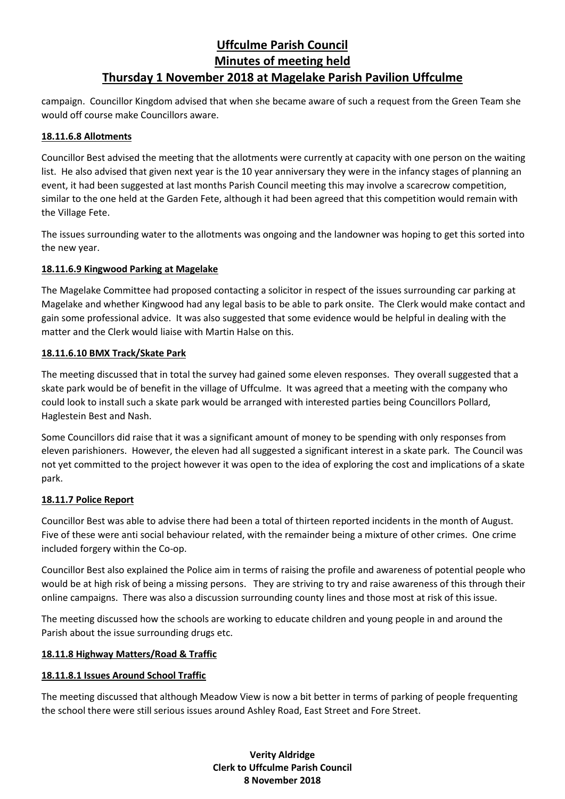campaign. Councillor Kingdom advised that when she became aware of such a request from the Green Team she would off course make Councillors aware.

#### **18.11.6.8 Allotments**

Councillor Best advised the meeting that the allotments were currently at capacity with one person on the waiting list. He also advised that given next year is the 10 year anniversary they were in the infancy stages of planning an event, it had been suggested at last months Parish Council meeting this may involve a scarecrow competition, similar to the one held at the Garden Fete, although it had been agreed that this competition would remain with the Village Fete.

The issues surrounding water to the allotments was ongoing and the landowner was hoping to get this sorted into the new year.

#### **18.11.6.9 Kingwood Parking at Magelake**

The Magelake Committee had proposed contacting a solicitor in respect of the issues surrounding car parking at Magelake and whether Kingwood had any legal basis to be able to park onsite. The Clerk would make contact and gain some professional advice. It was also suggested that some evidence would be helpful in dealing with the matter and the Clerk would liaise with Martin Halse on this.

#### **18.11.6.10 BMX Track/Skate Park**

The meeting discussed that in total the survey had gained some eleven responses. They overall suggested that a skate park would be of benefit in the village of Uffculme. It was agreed that a meeting with the company who could look to install such a skate park would be arranged with interested parties being Councillors Pollard, Haglestein Best and Nash.

Some Councillors did raise that it was a significant amount of money to be spending with only responses from eleven parishioners. However, the eleven had all suggested a significant interest in a skate park. The Council was not yet committed to the project however it was open to the idea of exploring the cost and implications of a skate park.

#### **18.11.7 Police Report**

Councillor Best was able to advise there had been a total of thirteen reported incidents in the month of August. Five of these were anti social behaviour related, with the remainder being a mixture of other crimes. One crime included forgery within the Co-op.

Councillor Best also explained the Police aim in terms of raising the profile and awareness of potential people who would be at high risk of being a missing persons. They are striving to try and raise awareness of this through their online campaigns. There was also a discussion surrounding county lines and those most at risk of this issue.

The meeting discussed how the schools are working to educate children and young people in and around the Parish about the issue surrounding drugs etc.

#### **18.11.8 Highway Matters/Road & Traffic**

#### **18.11.8.1 Issues Around School Traffic**

The meeting discussed that although Meadow View is now a bit better in terms of parking of people frequenting the school there were still serious issues around Ashley Road, East Street and Fore Street.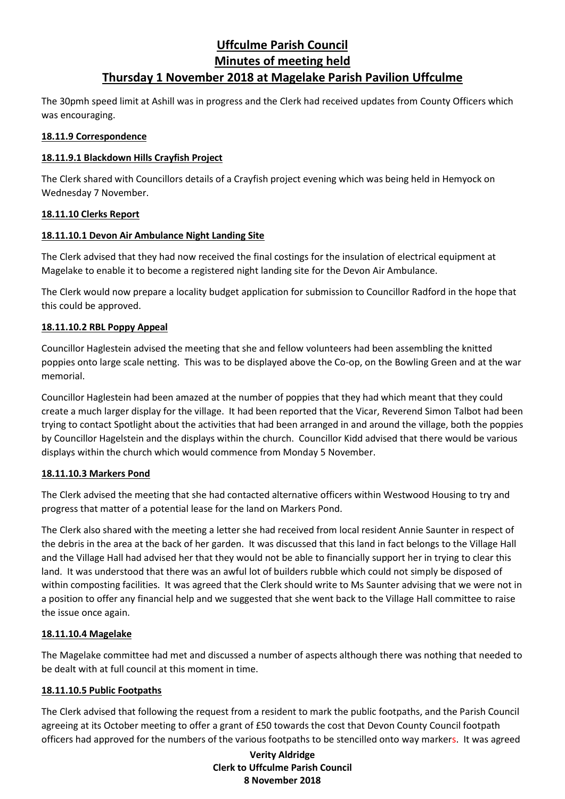The 30pmh speed limit at Ashill was in progress and the Clerk had received updates from County Officers which was encouraging.

#### **18.11.9 Correspondence**

### **18.11.9.1 Blackdown Hills Crayfish Project**

The Clerk shared with Councillors details of a Crayfish project evening which was being held in Hemyock on Wednesday 7 November.

#### **18.11.10 Clerks Report**

### **18.11.10.1 Devon Air Ambulance Night Landing Site**

The Clerk advised that they had now received the final costings for the insulation of electrical equipment at Magelake to enable it to become a registered night landing site for the Devon Air Ambulance.

The Clerk would now prepare a locality budget application for submission to Councillor Radford in the hope that this could be approved.

### **18.11.10.2 RBL Poppy Appeal**

Councillor Haglestein advised the meeting that she and fellow volunteers had been assembling the knitted poppies onto large scale netting. This was to be displayed above the Co-op, on the Bowling Green and at the war memorial.

Councillor Haglestein had been amazed at the number of poppies that they had which meant that they could create a much larger display for the village. It had been reported that the Vicar, Reverend Simon Talbot had been trying to contact Spotlight about the activities that had been arranged in and around the village, both the poppies by Councillor Hagelstein and the displays within the church. Councillor Kidd advised that there would be various displays within the church which would commence from Monday 5 November.

## **18.11.10.3 Markers Pond**

The Clerk advised the meeting that she had contacted alternative officers within Westwood Housing to try and progress that matter of a potential lease for the land on Markers Pond.

The Clerk also shared with the meeting a letter she had received from local resident Annie Saunter in respect of the debris in the area at the back of her garden. It was discussed that this land in fact belongs to the Village Hall and the Village Hall had advised her that they would not be able to financially support her in trying to clear this land. It was understood that there was an awful lot of builders rubble which could not simply be disposed of within composting facilities. It was agreed that the Clerk should write to Ms Saunter advising that we were not in a position to offer any financial help and we suggested that she went back to the Village Hall committee to raise the issue once again.

#### **18.11.10.4 Magelake**

The Magelake committee had met and discussed a number of aspects although there was nothing that needed to be dealt with at full council at this moment in time.

#### **18.11.10.5 Public Footpaths**

The Clerk advised that following the request from a resident to mark the public footpaths, and the Parish Council agreeing at its October meeting to offer a grant of £50 towards the cost that Devon County Council footpath officers had approved for the numbers of the various footpaths to be stencilled onto way markers. It was agreed